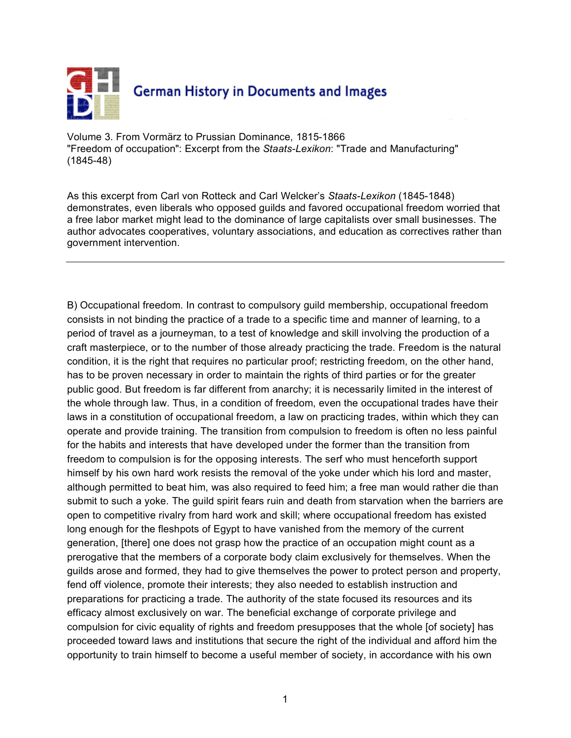

Volume 3. From Vormärz to Prussian Dominance, 1815-1866 "Freedom of occupation": Excerpt from the *Staats-Lexikon*: "Trade and Manufacturing" (1845-48)

As this excerpt from Carl von Rotteck and Carl Welcker's *Staats-Lexikon* (1845-1848) demonstrates, even liberals who opposed guilds and favored occupational freedom worried that a free labor market might lead to the dominance of large capitalists over small businesses. The author advocates cooperatives, voluntary associations, and education as correctives rather than government intervention.

B) Occupational freedom. In contrast to compulsory guild membership, occupational freedom consists in not binding the practice of a trade to a specific time and manner of learning, to a period of travel as a journeyman, to a test of knowledge and skill involving the production of a craft masterpiece, or to the number of those already practicing the trade. Freedom is the natural condition, it is the right that requires no particular proof; restricting freedom, on the other hand, has to be proven necessary in order to maintain the rights of third parties or for the greater public good. But freedom is far different from anarchy; it is necessarily limited in the interest of the whole through law. Thus, in a condition of freedom, even the occupational trades have their laws in a constitution of occupational freedom, a law on practicing trades, within which they can operate and provide training. The transition from compulsion to freedom is often no less painful for the habits and interests that have developed under the former than the transition from freedom to compulsion is for the opposing interests. The serf who must henceforth support himself by his own hard work resists the removal of the yoke under which his lord and master, although permitted to beat him, was also required to feed him; a free man would rather die than submit to such a yoke. The guild spirit fears ruin and death from starvation when the barriers are open to competitive rivalry from hard work and skill; where occupational freedom has existed long enough for the fleshpots of Egypt to have vanished from the memory of the current generation, [there] one does not grasp how the practice of an occupation might count as a prerogative that the members of a corporate body claim exclusively for themselves. When the guilds arose and formed, they had to give themselves the power to protect person and property, fend off violence, promote their interests; they also needed to establish instruction and preparations for practicing a trade. The authority of the state focused its resources and its efficacy almost exclusively on war. The beneficial exchange of corporate privilege and compulsion for civic equality of rights and freedom presupposes that the whole [of society] has proceeded toward laws and institutions that secure the right of the individual and afford him the opportunity to train himself to become a useful member of society, in accordance with his own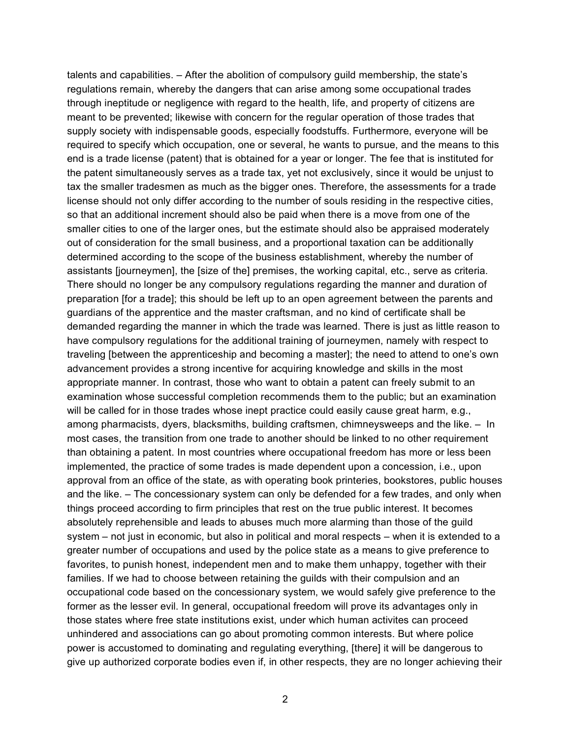talents and capabilities. – After the abolition of compulsory guild membership, the state's regulations remain, whereby the dangers that can arise among some occupational trades through ineptitude or negligence with regard to the health, life, and property of citizens are meant to be prevented; likewise with concern for the regular operation of those trades that supply society with indispensable goods, especially foodstuffs. Furthermore, everyone will be required to specify which occupation, one or several, he wants to pursue, and the means to this end is a trade license (patent) that is obtained for a year or longer. The fee that is instituted for the patent simultaneously serves as a trade tax, yet not exclusively, since it would be unjust to tax the smaller tradesmen as much as the bigger ones. Therefore, the assessments for a trade license should not only differ according to the number of souls residing in the respective cities, so that an additional increment should also be paid when there is a move from one of the smaller cities to one of the larger ones, but the estimate should also be appraised moderately out of consideration for the small business, and a proportional taxation can be additionally determined according to the scope of the business establishment, whereby the number of assistants [journeymen], the [size of the] premises, the working capital, etc., serve as criteria. There should no longer be any compulsory regulations regarding the manner and duration of preparation [for a trade]; this should be left up to an open agreement between the parents and guardians of the apprentice and the master craftsman, and no kind of certificate shall be demanded regarding the manner in which the trade was learned. There is just as little reason to have compulsory regulations for the additional training of journeymen, namely with respect to traveling [between the apprenticeship and becoming a master]; the need to attend to one's own advancement provides a strong incentive for acquiring knowledge and skills in the most appropriate manner. In contrast, those who want to obtain a patent can freely submit to an examination whose successful completion recommends them to the public; but an examination will be called for in those trades whose inept practice could easily cause great harm, e.g., among pharmacists, dyers, blacksmiths, building craftsmen, chimneysweeps and the like. – In most cases, the transition from one trade to another should be linked to no other requirement than obtaining a patent. In most countries where occupational freedom has more or less been implemented, the practice of some trades is made dependent upon a concession, i.e., upon approval from an office of the state, as with operating book printeries, bookstores, public houses and the like. – The concessionary system can only be defended for a few trades, and only when things proceed according to firm principles that rest on the true public interest. It becomes absolutely reprehensible and leads to abuses much more alarming than those of the guild system – not just in economic, but also in political and moral respects – when it is extended to a greater number of occupations and used by the police state as a means to give preference to favorites, to punish honest, independent men and to make them unhappy, together with their families. If we had to choose between retaining the guilds with their compulsion and an occupational code based on the concessionary system, we would safely give preference to the former as the lesser evil. In general, occupational freedom will prove its advantages only in those states where free state institutions exist, under which human activites can proceed unhindered and associations can go about promoting common interests. But where police power is accustomed to dominating and regulating everything, [there] it will be dangerous to give up authorized corporate bodies even if, in other respects, they are no longer achieving their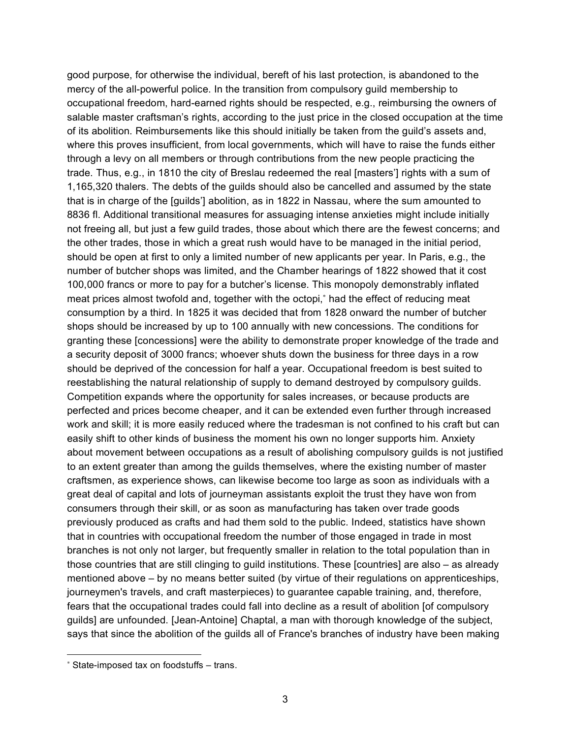good purpose, for otherwise the individual, bereft of his last protection, is abandoned to the mercy of the all-powerful police. In the transition from compulsory guild membership to occupational freedom, hard-earned rights should be respected, e.g., reimbursing the owners of salable master craftsman's rights, according to the just price in the closed occupation at the time of its abolition. Reimbursements like this should initially be taken from the guild's assets and, where this proves insufficient, from local governments, which will have to raise the funds either through a levy on all members or through contributions from the new people practicing the trade. Thus, e.g., in 1810 the city of Breslau redeemed the real [masters'] rights with a sum of 1,165,320 thalers. The debts of the guilds should also be cancelled and assumed by the state that is in charge of the [guilds'] abolition, as in 1822 in Nassau, where the sum amounted to 8836 fl. Additional transitional measures for assuaging intense anxieties might include initially not freeing all, but just a few guild trades, those about which there are the fewest concerns; and the other trades, those in which a great rush would have to be managed in the initial period, should be open at first to only a limited number of new applicants per year. In Paris, e.g., the number of butcher shops was limited, and the Chamber hearings of 1822 showed that it cost 100,000 francs or more to pay for a butcher's license. This monopoly demonstrably inflated meat prices almost twofold and, together with the octopi,<sup>\*</sup> had the effect of reducing meat consumption by a third. In 1825 it was decided that from 1828 onward the number of butcher shops should be increased by up to 100 annually with new concessions. The conditions for granting these [concessions] were the ability to demonstrate proper knowledge of the trade and a security deposit of 3000 francs; whoever shuts down the business for three days in a row should be deprived of the concession for half a year. Occupational freedom is best suited to reestablishing the natural relationship of supply to demand destroyed by compulsory guilds. Competition expands where the opportunity for sales increases, or because products are perfected and prices become cheaper, and it can be extended even further through increased work and skill; it is more easily reduced where the tradesman is not confined to his craft but can easily shift to other kinds of business the moment his own no longer supports him. Anxiety about movement between occupations as a result of abolishing compulsory guilds is not justified to an extent greater than among the guilds themselves, where the existing number of master craftsmen, as experience shows, can likewise become too large as soon as individuals with a great deal of capital and lots of journeyman assistants exploit the trust they have won from consumers through their skill, or as soon as manufacturing has taken over trade goods previously produced as crafts and had them sold to the public. Indeed, statistics have shown that in countries with occupational freedom the number of those engaged in trade in most branches is not only not larger, but frequently smaller in relation to the total population than in those countries that are still clinging to guild institutions. These [countries] are also – as already mentioned above – by no means better suited (by virtue of their regulations on apprenticeships, journeymen's travels, and craft masterpieces) to guarantee capable training, and, therefore, fears that the occupational trades could fall into decline as a result of abolition [of compulsory guilds] are unfounded. [Jean-Antoine] Chaptal, a man with thorough knowledge of the subject, says that since the abolition of the guilds all of France's branches of industry have been making

 $\overline{a}$ 

<sup>∗</sup> State-imposed tax on foodstuffs – trans.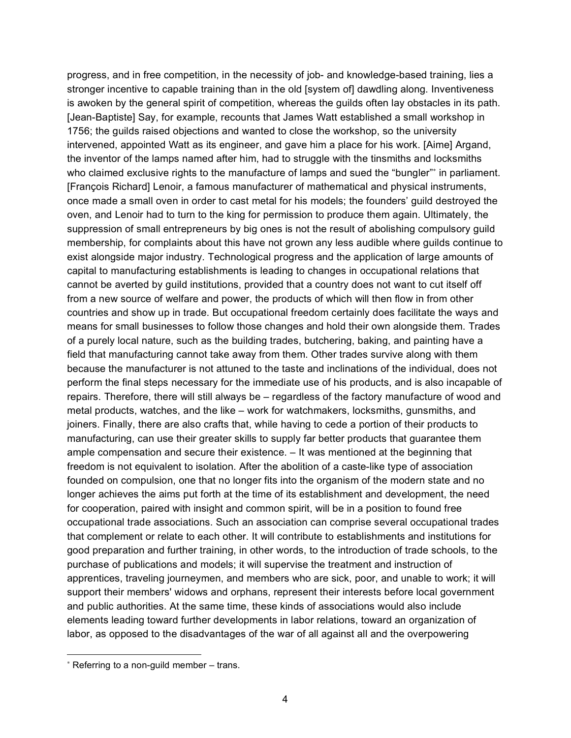progress, and in free competition, in the necessity of job- and knowledge-based training, lies a stronger incentive to capable training than in the old [system of] dawdling along. Inventiveness is awoken by the general spirit of competition, whereas the guilds often lay obstacles in its path. [Jean-Baptiste] Say, for example, recounts that James Watt established a small workshop in 1756; the guilds raised objections and wanted to close the workshop, so the university intervened, appointed Watt as its engineer, and gave him a place for his work. [Aime] Argand, the inventor of the lamps named after him, had to struggle with the tinsmiths and locksmiths who claimed exclusive rights to the manufacture of lamps and sued the "bungler"\* in parliament. [François Richard] Lenoir, a famous manufacturer of mathematical and physical instruments, once made a small oven in order to cast metal for his models; the founders' guild destroyed the oven, and Lenoir had to turn to the king for permission to produce them again. Ultimately, the suppression of small entrepreneurs by big ones is not the result of abolishing compulsory guild membership, for complaints about this have not grown any less audible where guilds continue to exist alongside major industry. Technological progress and the application of large amounts of capital to manufacturing establishments is leading to changes in occupational relations that cannot be averted by guild institutions, provided that a country does not want to cut itself off from a new source of welfare and power, the products of which will then flow in from other countries and show up in trade. But occupational freedom certainly does facilitate the ways and means for small businesses to follow those changes and hold their own alongside them. Trades of a purely local nature, such as the building trades, butchering, baking, and painting have a field that manufacturing cannot take away from them. Other trades survive along with them because the manufacturer is not attuned to the taste and inclinations of the individual, does not perform the final steps necessary for the immediate use of his products, and is also incapable of repairs. Therefore, there will still always be – regardless of the factory manufacture of wood and metal products, watches, and the like – work for watchmakers, locksmiths, gunsmiths, and joiners. Finally, there are also crafts that, while having to cede a portion of their products to manufacturing, can use their greater skills to supply far better products that guarantee them ample compensation and secure their existence. – It was mentioned at the beginning that freedom is not equivalent to isolation. After the abolition of a caste-like type of association founded on compulsion, one that no longer fits into the organism of the modern state and no longer achieves the aims put forth at the time of its establishment and development, the need for cooperation, paired with insight and common spirit, will be in a position to found free occupational trade associations. Such an association can comprise several occupational trades that complement or relate to each other. It will contribute to establishments and institutions for good preparation and further training, in other words, to the introduction of trade schools, to the purchase of publications and models; it will supervise the treatment and instruction of apprentices, traveling journeymen, and members who are sick, poor, and unable to work; it will support their members' widows and orphans, represent their interests before local government and public authorities. At the same time, these kinds of associations would also include elements leading toward further developments in labor relations, toward an organization of labor, as opposed to the disadvantages of the war of all against all and the overpowering

 $\overline{a}$ 

<sup>∗</sup> Referring to a non-guild member – trans.